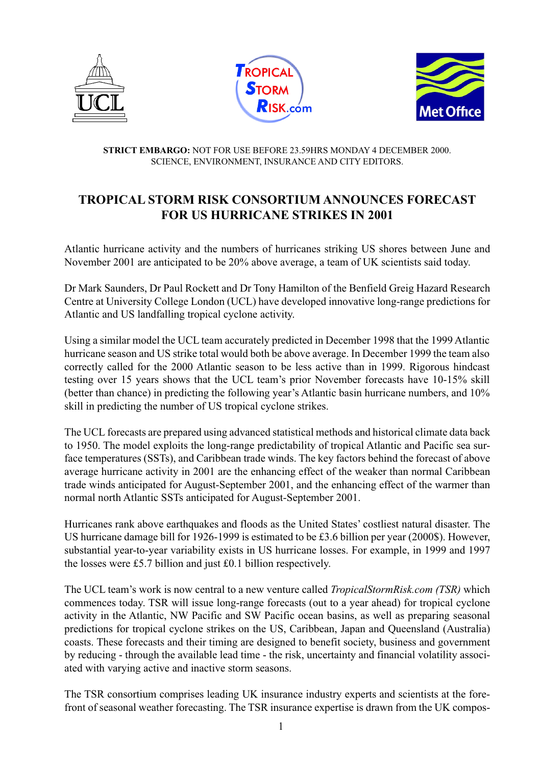





## **STRICT EMBARGO:** NOT FOR USE BEFORE 23.59HRS MONDAY 4 DECEMBER 2000. SCIENCE, ENVIRONMENT, INSURANCE AND CITY EDITORS.

## **TROPICAL STORM RISK CONSORTIUM ANNOUNCES FORECAST FOR US HURRICANE STRIKES IN 2001**

Atlantic hurricane activity and the numbers of hurricanes striking US shores between June and November 2001 are anticipated to be 20% above average, a team of UK scientists said today.

Dr Mark Saunders, Dr Paul Rockett and Dr Tony Hamilton of the Benfield Greig Hazard Research Centre at University College London (UCL) have developed innovative long-range predictions for Atlantic and US landfalling tropical cyclone activity.

Using a similar model the UCL team accurately predicted in December 1998 that the 1999 Atlantic hurricane season and US strike total would both be above average. In December 1999 the team also correctly called for the 2000 Atlantic season to be less active than in 1999. Rigorous hindcast testing over 15 years shows that the UCL team's prior November forecasts have 10-15% skill (better than chance) in predicting the following year's Atlantic basin hurricane numbers, and 10% skill in predicting the number of US tropical cyclone strikes.

The UCL forecasts are prepared using advanced statistical methods and historical climate data back to 1950. The model exploits the long-range predictability of tropical Atlantic and Pacific sea surface temperatures (SSTs), and Caribbean trade winds. The key factors behind the forecast of above average hurricane activity in 2001 are the enhancing effect of the weaker than normal Caribbean trade winds anticipated for August-September 2001, and the enhancing effect of the warmer than normal north Atlantic SSTs anticipated for August-September 2001.

Hurricanes rank above earthquakes and floods as the United States' costliest natural disaster. The US hurricane damage bill for 1926-1999 is estimated to be £3.6 billion per year (2000\$). However, substantial year-to-year variability exists in US hurricane losses. For example, in 1999 and 1997 the losses were £5.7 billion and just £0.1 billion respectively.

The UCL team's work is now central to a new venture called *TropicalStormRisk.com (TSR)* which commences today. TSR will issue long-range forecasts (out to a year ahead) for tropical cyclone activity in the Atlantic, NW Pacific and SW Pacific ocean basins, as well as preparing seasonal predictions for tropical cyclone strikes on the US, Caribbean, Japan and Queensland (Australia) coasts. These forecasts and their timing are designed to benefit society, business and government by reducing - through the available lead time - the risk, uncertainty and financial volatility associated with varying active and inactive storm seasons.

The TSR consortium comprises leading UK insurance industry experts and scientists at the forefront of seasonal weather forecasting. The TSR insurance expertise is drawn from the UK compos-